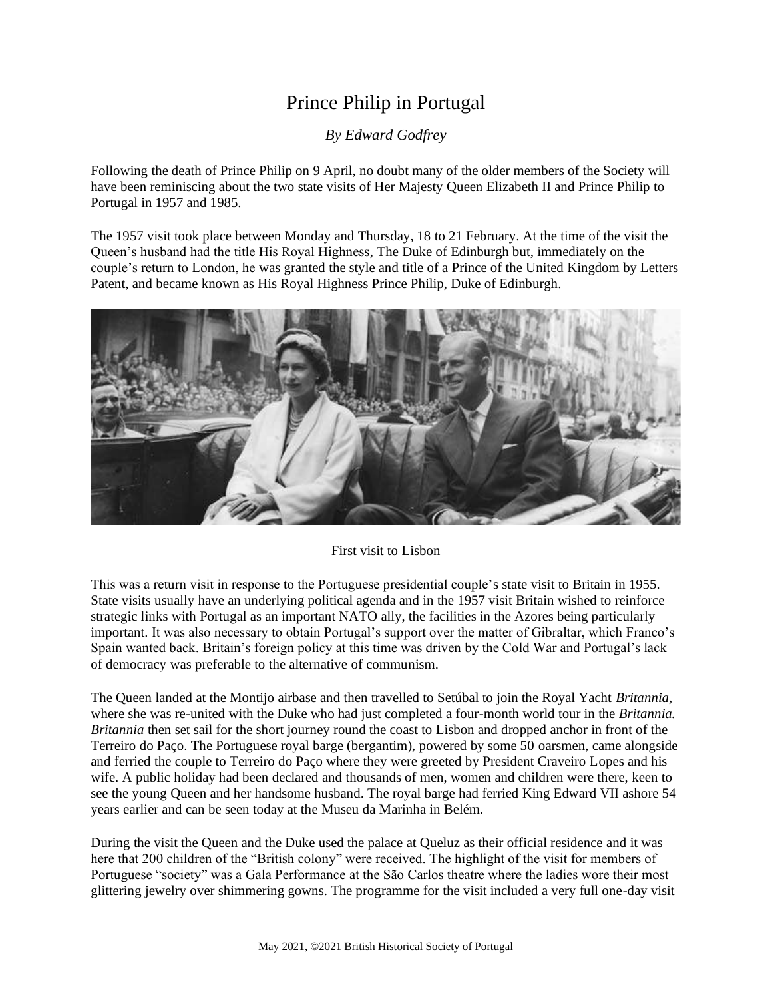## Prince Philip in Portugal

*By Edward Godfrey*

Following the death of Prince Philip on 9 April, no doubt many of the older members of the Society will have been reminiscing about the two state visits of Her Majesty Queen Elizabeth II and Prince Philip to Portugal in 1957 and 1985.

The 1957 visit took place between Monday and Thursday, 18 to 21 February. At the time of the visit the Queen's husband had the title His Royal Highness, The Duke of Edinburgh but, immediately on the couple's return to London, he was granted the style and title of a Prince of the United Kingdom by Letters Patent, and became known as His Royal Highness Prince Philip, Duke of Edinburgh.



First visit to Lisbon

This was a return visit in response to the Portuguese presidential couple's state visit to Britain in 1955. State visits usually have an underlying political agenda and in the 1957 visit Britain wished to reinforce strategic links with Portugal as an important NATO ally, the facilities in the Azores being particularly important. It was also necessary to obtain Portugal's support over the matter of Gibraltar, which Franco's Spain wanted back. Britain's foreign policy at this time was driven by the Cold War and Portugal's lack of democracy was preferable to the alternative of communism.

The Queen landed at the Montijo airbase and then travelled to Setúbal to join the Royal Yacht *Britannia,* where she was re-united with the Duke who had just completed a four-month world tour in the *Britannia. Britannia* then set sail for the short journey round the coast to Lisbon and dropped anchor in front of the Terreiro do Paço. The Portuguese royal barge (bergantim), powered by some 50 oarsmen, came alongside and ferried the couple to Terreiro do Paço where they were greeted by President Craveiro Lopes and his wife. A public holiday had been declared and thousands of men, women and children were there, keen to see the young Queen and her handsome husband. The royal barge had ferried King Edward VII ashore 54 years earlier and can be seen today at the Museu da Marinha in Belém.

During the visit the Queen and the Duke used the palace at Queluz as their official residence and it was here that 200 children of the "British colony" were received. The highlight of the visit for members of Portuguese "society" was a Gala Performance at the São Carlos theatre where the ladies wore their most glittering jewelry over shimmering gowns. The programme for the visit included a very full one-day visit